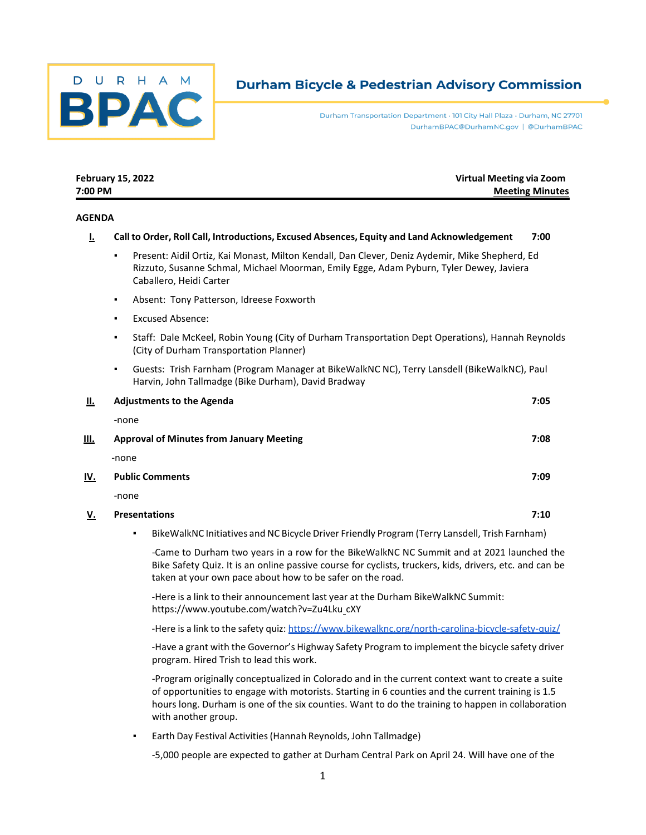

# **Durham Bicycle & Pedestrian Advisory Commission**

Durham Transportation Department · 101 City Hall Plaza · Durham, NC 27701 DurhamBPAC@DurhamNC.gov | @DurhamBPAC

| 7:00 PM       |                                                                                                                                                                                                                           | <b>Meeting Minutes</b> |
|---------------|---------------------------------------------------------------------------------------------------------------------------------------------------------------------------------------------------------------------------|------------------------|
| <b>AGENDA</b> |                                                                                                                                                                                                                           |                        |
| Ŀ             | Call to Order, Roll Call, Introductions, Excused Absences, Equity and Land Acknowledgement                                                                                                                                | 7:00                   |
|               | Present: Aidil Ortiz, Kai Monast, Milton Kendall, Dan Clever, Deniz Aydemir, Mike Shepherd, Ed<br>٠<br>Rizzuto, Susanne Schmal, Michael Moorman, Emily Egge, Adam Pyburn, Tyler Dewey, Javiera<br>Caballero, Heidi Carter |                        |
|               | Absent: Tony Patterson, Idreese Foxworth<br>$\blacksquare$                                                                                                                                                                |                        |
|               | <b>Excused Absence:</b><br>٠                                                                                                                                                                                              |                        |
|               | Staff: Dale McKeel, Robin Young (City of Durham Transportation Dept Operations), Hannah Reynolds<br>(City of Durham Transportation Planner)                                                                               |                        |
|               | Guests: Trish Farnham (Program Manager at BikeWalkNC NC), Terry Lansdell (BikeWalkNC), Paul<br>٠<br>Harvin, John Tallmadge (Bike Durham), David Bradway                                                                   |                        |
| Ш.            | <b>Adjustments to the Agenda</b>                                                                                                                                                                                          | 7:05                   |
|               | -none                                                                                                                                                                                                                     |                        |
| III.          | <b>Approval of Minutes from January Meeting</b>                                                                                                                                                                           | 7:08                   |
|               | -none                                                                                                                                                                                                                     |                        |
| IV.           | <b>Public Comments</b>                                                                                                                                                                                                    | 7:09                   |
|               | -none                                                                                                                                                                                                                     |                        |
| <u>v.</u>     | <b>Presentations</b>                                                                                                                                                                                                      | 7:10                   |

**February 15, 2022 Virtual Meeting via Zoom**

▪ BikeWalkNC Initiatives and NC Bicycle Driver Friendly Program (Terry Lansdell, Trish Farnham)

-Came to Durham two years in a row for the BikeWalkNC NC Summit and at 2021 launched the Bike Safety Quiz. It is an online passive course for cyclists, truckers, kids, drivers, etc. and can be taken at your own pace about how to be safer on the road.

-Here is a link to their announcement last year at the Durham BikeWalkNC Summit: https:/[/www.youtube.com/watch?v=Zu4Lku](http://www.youtube.com/watch?v=Zu4Lku) cXY

-Here is a link to the safety quiz: <https://www.bikewalknc.org/north-carolina-bicycle-safety-quiz/>

-Have a grant with the Governor's Highway Safety Program to implement the bicycle safety driver program. Hired Trish to lead this work.

-Program originally conceptualized in Colorado and in the current context want to create a suite of opportunities to engage with motorists. Starting in 6 counties and the current training is 1.5 hours long. Durham is one of the six counties. Want to do the training to happen in collaboration with another group.

▪ Earth Day Festival Activities(Hannah Reynolds, John Tallmadge)

-5,000 people are expected to gather at Durham Central Park on April 24. Will have one of the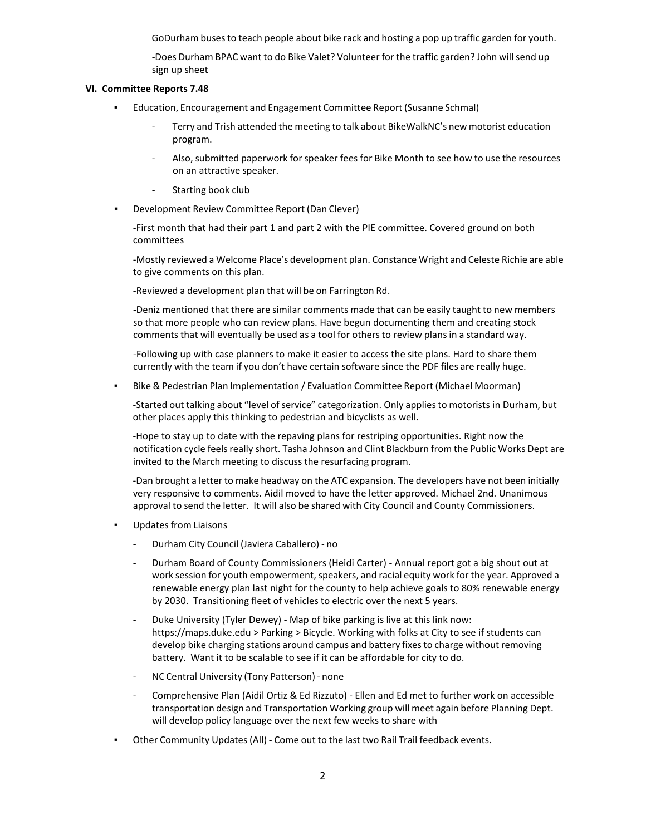GoDurham busesto teach people about bike rack and hosting a pop up traffic garden for youth.

-Does Durham BPAC want to do Bike Valet? Volunteer for the traffic garden? John will send up sign up sheet

# **VI. Committee Reports 7.48**

- Education, Encouragement and Engagement Committee Report (Susanne Schmal)
	- Terry and Trish attended the meeting to talk about BikeWalkNC's new motorist education program.
	- Also, submitted paperwork for speaker fees for Bike Month to see how to use the resources on an attractive speaker.
	- Starting book club
- Development Review Committee Report (Dan Clever)

-First month that had their part 1 and part 2 with the PIE committee. Covered ground on both committees

-Mostly reviewed a Welcome Place's development plan. Constance Wright and Celeste Richie are able to give comments on this plan.

-Reviewed a development plan that will be on Farrington Rd.

-Deniz mentioned that there are similar comments made that can be easily taught to new members so that more people who can review plans. Have begun documenting them and creating stock comments that will eventually be used as a tool for others to review plans in a standard way.

-Following up with case planners to make it easier to access the site plans. Hard to share them currently with the team if you don't have certain software since the PDF files are really huge.

▪ Bike & Pedestrian Plan Implementation / Evaluation Committee Report (Michael Moorman)

-Started out talking about "level of service" categorization. Only applies to motorists in Durham, but other places apply this thinking to pedestrian and bicyclists as well.

-Hope to stay up to date with the repaving plans for restriping opportunities. Right now the notification cycle feels really short. Tasha Johnson and Clint Blackburn from the Public Works Dept are invited to the March meeting to discuss the resurfacing program.

-Dan brought a letter to make headway on the ATC expansion. The developers have not been initially very responsive to comments. Aidil moved to have the letter approved. Michael 2nd. Unanimous approval to send the letter. It will also be shared with City Council and County Commissioners.

- Updates from Liaisons
	- Durham City Council (Javiera Caballero) no
	- Durham Board of County Commissioners (Heidi Carter) Annual report got a big shout out at work session for youth empowerment, speakers, and racial equity work for the year. Approved a renewable energy plan last night for the county to help achieve goals to 80% renewable energy by 2030. Transitioning fleet of vehicles to electric over the next 5 years.
	- Duke University (Tyler Dewey) Map of bike parking is live at this link now: https://maps.duke.edu > Parking > Bicycle. Working with folks at City to see if students can develop bike charging stations around campus and battery fixes to charge without removing battery. Want it to be scalable to see if it can be affordable for city to do.
	- NC Central University (Tony Patterson) none
	- Comprehensive Plan (Aidil Ortiz & Ed Rizzuto) Ellen and Ed met to further work on accessible transportation design and Transportation Working group will meet again before Planning Dept. will develop policy language over the next few weeks to share with
- Other Community Updates (All) Come out to the last two Rail Trail feedback events.